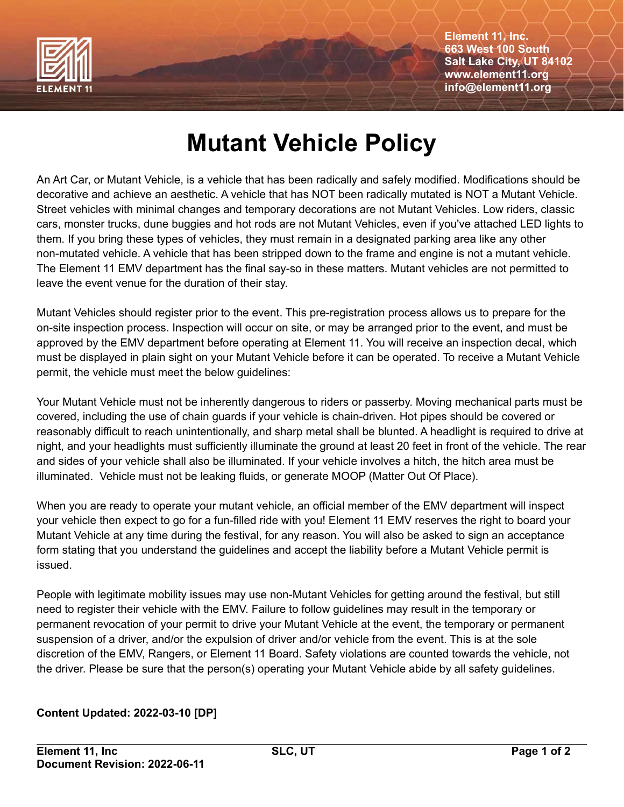

**Element 11, Inc. 663 West 100 South Salt Lake City, UT 84102 www.element11.org info@element11.org**

## **Mutant Vehicle Policy**

An Art Car, or Mutant Vehicle, is a vehicle that has been radically and safely modified. Modifications should be decorative and achieve an aesthetic. A vehicle that has NOT been radically mutated is NOT a Mutant Vehicle. Street vehicles with minimal changes and temporary decorations are not Mutant Vehicles. Low riders, classic cars, monster trucks, dune buggies and hot rods are not Mutant Vehicles, even if you've attached LED lights to them. If you bring these types of vehicles, they must remain in a designated parking area like any other non-mutated vehicle. A vehicle that has been stripped down to the frame and engine is not a mutant vehicle. The Element 11 EMV department has the final say-so in these matters. Mutant vehicles are not permitted to leave the event venue for the duration of their stay.

Mutant Vehicles should register prior to the event. This pre-registration process allows us to prepare for the on-site inspection process. Inspection will occur on site, or may be arranged prior to the event, and must be approved by the EMV department before operating at Element 11. You will receive an inspection decal, which must be displayed in plain sight on your Mutant Vehicle before it can be operated. To receive a Mutant Vehicle permit, the vehicle must meet the below guidelines:

Your Mutant Vehicle must not be inherently dangerous to riders or passerby. Moving mechanical parts must be covered, including the use of chain guards if your vehicle is chain-driven. Hot pipes should be covered or reasonably difficult to reach unintentionally, and sharp metal shall be blunted. A headlight is required to drive at night, and your headlights must sufficiently illuminate the ground at least 20 feet in front of the vehicle. The rear and sides of your vehicle shall also be illuminated. If your vehicle involves a hitch, the hitch area must be illuminated. Vehicle must not be leaking fluids, or generate MOOP (Matter Out Of Place).

When you are ready to operate your mutant vehicle, an official member of the EMV department will inspect your vehicle then expect to go for a fun-filled ride with you! Element 11 EMV reserves the right to board your Mutant Vehicle at any time during the festival, for any reason. You will also be asked to sign an acceptance form stating that you understand the guidelines and accept the liability before a Mutant Vehicle permit is issued.

People with legitimate mobility issues may use non-Mutant Vehicles for getting around the festival, but still need to register their vehicle with the EMV. Failure to follow guidelines may result in the temporary or permanent revocation of your permit to drive your Mutant Vehicle at the event, the temporary or permanent suspension of a driver, and/or the expulsion of driver and/or vehicle from the event. This is at the sole discretion of the EMV, Rangers, or Element 11 Board. Safety violations are counted towards the vehicle, not the driver. Please be sure that the person(s) operating your Mutant Vehicle abide by all safety guidelines.

## **Content Updated: 2022-03-10 [DP]**